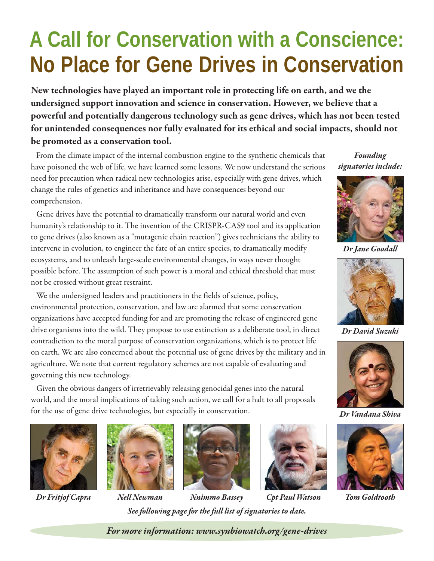## **A Call for Conservation with a Conscience: No Place for Gene Drives in Conservation**

New technologies have played an important role in protecting life on earth, and we the undersigned support innovation and science in conservation. However, we believe that a powerful and potentially dangerous technology such as gene drives, which has not been tested for unintended consequences nor fully evaluated for its ethical and social impacts, should not be promoted as a conservation tool.

From the climate impact of the internal combustion engine to the synthetic chemicals that have poisoned the web of life, we have learned some lessons. We now understand the serious need for precaution when radical new technologies arise, especially with gene drives, which change the rules of genetics and inheritance and have consequences beyond our comprehension.

Gene drives have the potential to dramatically transform our natural world and even humanity's relationship to it. The invention of the CRISPR-CAS9 tool and its application to gene drives (also known as a "mutagenic chain reaction") gives technicians the ability to intervene in evolution, to engineer the fate of an entire species, to dramatically modify ecosystems, and to unleash large-scale environmental changes, in ways never thought possible before. The assumption of such power is a moral and ethical threshold that must not be crossed without great restraint.

We the undersigned leaders and practitioners in the fields of science, policy, environmental protection, conservation, and law are alarmed that some conservation organizations have accepted funding for and are promoting the release of engineered gene drive organisms into the wild. They propose to use extinction as a deliberate tool, in direct contradiction to the moral purpose of conservation organizations, which is to protect life on earth. We are also concerned about the potential use of gene drives by the military and in agriculture. We note that current regulatory schemes are not capable of evaluating and governing this new technology.

Given the obvious dangers of irretrievably releasing genocidal genes into the natural world, and the moral implications of taking such action, we call for a halt to all proposals for the use of gene drive technologies, but especially in conservation.







Dr Fritjof Capra Nell Newman Nnimmo Bassey Cpt Paul Watson Tom Goldtooth See following page for the full list of signatories to date.

Founding signatories include:



Dr Jane Goodall



Dr David Suzuki



Dr Vandana Shiva



For more information: www.synbiowatch.org/gene-drives